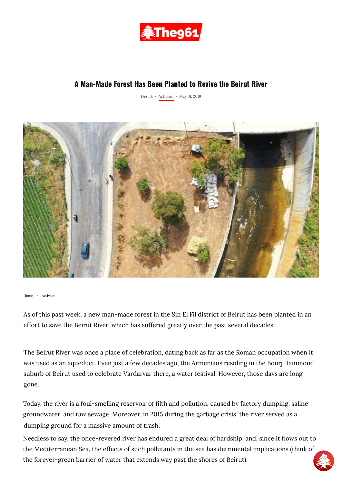

## A Man-Made Forest Has Been Planted to Revive the Beirut River

[Desi S.](https://www.the961.com/author/desis/) · [Activism](https://www.the961.com/activism/) · May 31, 2019



[Home](https://www.the961.com/) > [Activism](https://www.the961.com/activism/)

As of t[his past week, a new man-made forest in the Sin El Fil district of Beirut has been planted in an](https://www.facebook.com/sharer.php?u=https%3A%2F%2Fwww.the961.com%2Fa-man-made-forest-has-been-planted-to-revive-the-beirut-river%2F) effort to save the Beirut River, which has suffered greatly over the past several decades.

The Beirut River was once a place of celebration, dating back as far as the Roman occupation when it was used as an aqueduct. Even just a few decades ago, the Armenians residing in the Bourj Hammoud suburb of Beirut used to celebrate Vardarvar there, a water festival. However, those days are long gone.

Today, the river is a foul-smelling reservoir of filth and pollution, caused by factory dumping, saline groundwater, and raw sewage. Moreover, in 2015 during the garbage crisis, the river served as a dumping ground for a massive amount of trash.

Needless to say, the once-revered river has endured a great deal of hardship, and, since it flows out to the Mediterranean Sea, the effects of such pollutants in the sea has detrimental implications (think of the forever-green barrier of water that extends way past the shores of Beirut).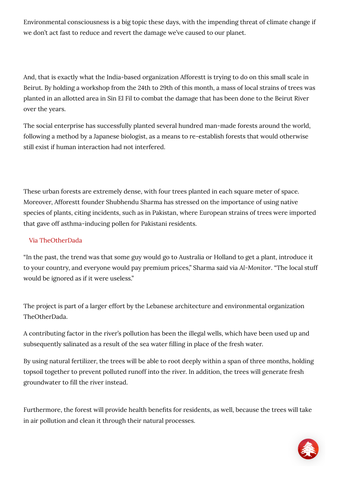Environmental consciousness is a big topic these days, with the impending threat of climate change if [we don't act fast to reduce and re](https://twitter.com/intent/tweet?via=The961&text=A%20Man-Made%20Forest%20Has%20Been%20Planted%20to%20Revive%20the%20Beirut%20River%20-%20https%3A%2F%2Fwww.the961.com%2Fa-man-made-forest-has-been-planted-to-revive-the-beirut-river%2F)[vert the damage we've caused to ou](https://www.facebook.com/sharer/sharer.php?u=https%3A%2F%2Fwww.the961.com%2Fa-man-made-forest-has-been-planted-to-revive-the-beirut-river%2F)[r planet.](whatsapp://send?text=A Man-Made Forest Has Been Planted to Revive the Beirut River %E2%80%93 https%3A%2F%2Fwww.the961.com%2Fa-man-made-forest-has-been-planted-to-revive-the-beirut-river%2F) 

And, that is exactly what the India-based organization Afforestt is trying to do on this small scale in Beirut. By holding a workshop from the 24th to 29th of this month, a mass of local strains of trees was planted in an allotted area in Sin El Fil to combat the damage that has been done to the Beirut River over the years.

The social enterprise has successfully planted several hundred man-made forests around the world, following a method by a Japanese biologist, as a means to re-establish forests that would otherwise still exist if human interaction had not interfered.

These urban forests are extremely dense, with four trees planted in each square meter of space. Moreover, Afforestt founder Shubhendu Sharma has stressed on the importance of using native species of plants, citing incidents, such as in Pakistan, where European strains of trees were imported that gave off asthma-inducing pollen for Pakistani residents.

## [Via TheOtherDada](http://theotherdada.com/#!home)

"In the past, the trend was that some guy would go to Australia or Holland to get a plant, introduce it to your country, and everyone would pay premium prices," Sharma said via *Al-Monitor*. "The local stuff would be ignored as if it were useless."

The project is part of a larger effort by the Lebanese architecture and environmental organization TheOtherDada.

A contributing factor in the river's pollution has been the illegal wells, which have been used up and subsequently salinated as a result of the sea water filling in place of the fresh water.

By using natural fertilizer, the trees will be able to root deeply within a span of three months, holding topsoil together to prevent polluted runoff into the river. In addition, the trees will generate fresh groundwater to fill the river instead.

Furthermore, the forest will provide health benefits for residents, as well, because the trees will take in air pollution and clean it through their natural processes.